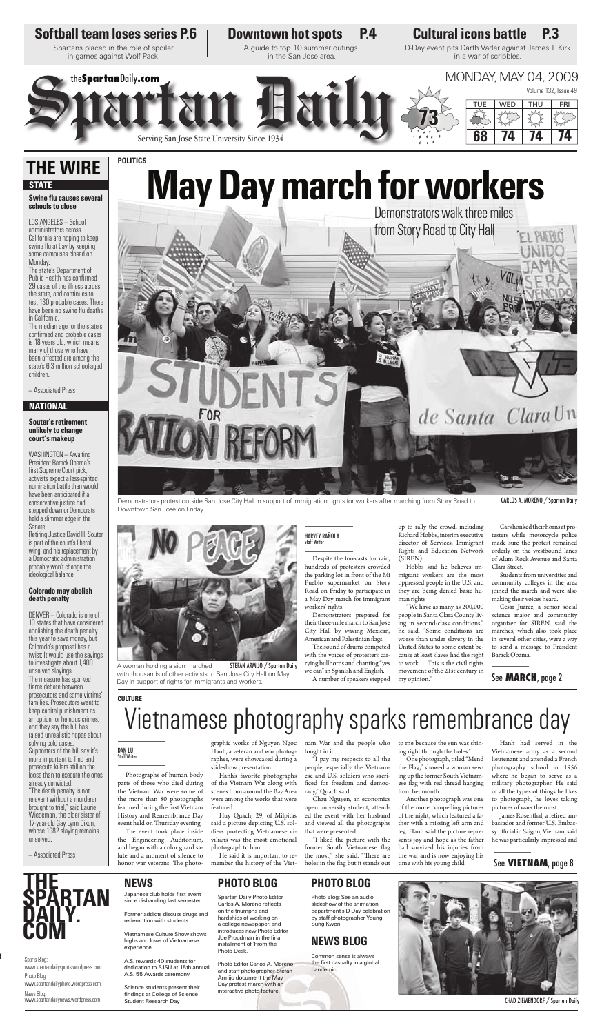#### Demonstrators protest outside San Jose City Hall in support of immigration rights for workers after marching from Story Road to Downtown San Jose on Friday.

A woman holding a sign marched with thousands of other activists to San Jose City Hall on May Day in support of rights for immigrants and workers.

Despite the forecasts for rain, hundreds of protesters crowded the parking lot in front of the Mi Pueblo supermarket on Story Road on Friday to participate in a May Day march for immigrant

workers' rights.

Demonstrators prepared for their three-mile march to San Jose City Hall by waving Mexican, American and Palestinian flags. The sound of drums competed with the voices of protesters carrying bullhorns and chanting "yes we can" in Spanish and English. A number of speakers stepped

up to rally the crowd, including Richard Hobbs, interim executive director of Services, Immigrant Rights and Education Network (SIREN).

Photographs of human body parts of those who died during the Vietnam War were some of the more than 80 photographs featured during the first Vietnam History and Remembrance Day event held on Thursday evening.

The event took place inside the Engineering Auditorium, and began with a color guard salute and a moment of silence to honor war veterans. The photo-

Hobbs said he believes imman rights

migrant workers are the most oppressed people in the U.S. and they are being denied basic hu-

"We have as many as 200,000 people in Santa Clara County living in second-class conditions," he said. "Some conditions are worse than under slavery in the United States to some extent because at least slaves had the right to work. ... This is the civil rights movement of the 21st century in

my opinion."

"I liked the picture with the former South Vietnamese flag the most," she said. "There are holes in the flag but it stands out

Cars honked their horns at protesters while motorcycle police made sure the protest remained orderly on the westbound lanes of Alum Rock Avenue and Santa Clara Street.

Students from universities and community colleges in the area joined the march and were also making their voices heard.

### HARVEY RAÑOLA<br>Staff Writer

Cesar Juarez, a senior social science major and community organizer for SIREN, said the marches, which also took place in several other cities, were a way to send a message to President Barack Obama.

Japanese club holds first event since disbanding last semester

graphic works of Nguyen Ngoc Hanh, a veteran and war photographer, were showcased during a slideshow presentation.

Hanh's favorite photographs of the Vietnam War along with scenes from around the Bay Area were among the works that were featured.

Huy Quach, 29, of Milpitas said a picture depicting U.S. soldiers protecting Vietnamese civilians was the most emotional photograph to him.

> the first casualty in a global pandemic



He said it is important to remember the history of the Vietnam War and the people who fought in it.

#### **Swine flu causes several schools to close**

"I pay my respects to all the people, especially the Vietnamese and U.S. soldiers who sacrificed for freedom and democracy," Quach said.

Chau Nguyen, an economics open university student, attended the event with her husband and viewed all the photographs that were presented.

to me because the sun was shining right through the holes."

One photograph, titled "Mend the Flag," showed a woman sewing up the former South Vietnamese flag with red thread hanging from her mouth.

Another photograph was one of the more compelling pictures of the night, which featured a father with a missing left arm and leg. Hanh said the picture represents joy and hope as the father had survived his injuries from the war and is now enjoying his time with his young child.

#### Hanh had served in the Vietnamese army as a second lieutenant and attended a French photography school in 1956 where he began to serve as a military photographer. He said of all the types of things he likes to photograph, he loves taking pictures of wars the most.

James Rosenthal, a retired ambassador and former U.S. Embassy official in Saigon, Vietnam, said he was particularly impressed and



### **NEWS PHOTO BLOG**

on the triumphs and hardships of working on a college newspaper, and introduces new Photo Editor Joe Proudman in the final installment of 'From the

Photo Desk.'

Photo Editor Carlos A. Moreno and staff photographer Stefan Armijo document the May Day protest march with an interactive photo feature.

Former addicts discuss drugs and redemption with students

Vietnamese Culture Show shows highs and lows of Vietnamese experience

Spartan Daily Photo Editor Carlos A. Moreno reflects **PHOTO BLOG**

A.S. rewards 40 students for dedication to SJSU at 18th annual A.S. 55 Awards ceremony

Science students present their findings at College of Science Student Research Day CHAD ZIEMENDORF / Spartan Daily

### **NEWS BLOG**

### Photo Blog: See an audio slideshow of the animation department's D-Day celebration by staff photographer Young-

Sung Kwon.

Common sense is always

Sports Blog: www.spartandailysports.wordpress.com Photo Blog: www.spartandailyphoto.wordpress.com News Blog: www.spartandailynews.wordpress.com



LOS ANGELES — School administrators across California are hoping to keep swine flu at bay by keeping some campuses closed on Monday.



### de Santa Clara Un

The state's Department of Public Health has confirmed 29 cases of the illness across the state, and continues to test 130 probable cases. There have been no swine flu deaths in California.

The median age for the state's confirmed and probable cases is 18 years old, which means many of those who have been affected are among the state's 6.3 million school-aged children.

— Associated Press

#### **Souter's retirement unlikely to change court's makeup**

WASHINGTON — Awaiting President Barack Obama's first Supreme Court pick, activists expect a less-spirited nomination battle than would have been anticipated if a conservative justice had stepped down or Democrats held a slimmer edge in the Senate.

Retiring Justice David H. Souter is part of the court's liberal wing, and his replacement by a Democratic administration probably won't change the ideological balance.

#### **Colorado may abolish death penalty**

DENVER — Colorado is one of 10 states that have considered abolishing the death penalty this year to save money, but Colorado's proposal has a twist: It would use the savings to investigate about 1,400 unsolved slayings. The measure has sparked fierce debate between prosecutors and some victims' families. Prosecutors want to keep capital punishment as an option for heinous crimes, and they say the bill has raised unrealistic hopes about solving cold cases. Supporters of the bill say it's more important to find and prosecute killers still on the loose than to execute the ones already convicted.

"The death penalty is not relevant without a murderer brought to trial," said Laurie Wiedeman, the older sister of 17-year-old Gay Lynn Dixon, whose 1982 slaying remains unsolved.

— Associated Press

### **THE WIRE STATE**

### **NATIONAL**

### **CULTURE**

### See **MARCH**, page 2

### See **VIETNAM**, page 8

CARLOS A. MORENO / Spartan Daily

Vietnamese photography sparks remembrance day

DAN LU<br>Staff Writer

f

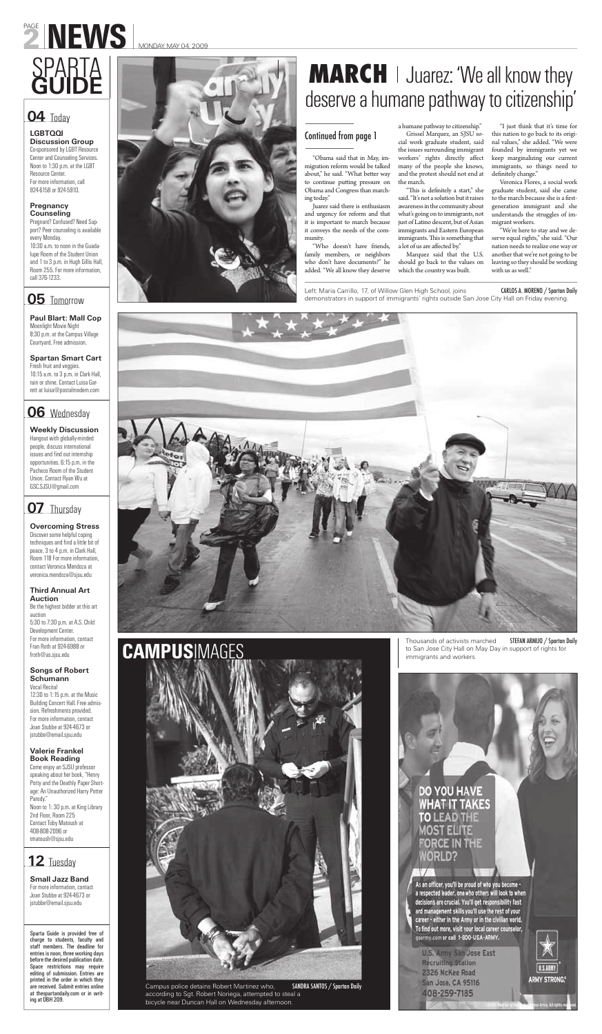# PAGE NEWS MONDAY, MAY 04, 2009

"Obama said that in May, immigration reform would be talked about," he said. "What better way to continue putting pressure on Obama and Congress than marching today."

Juarez said there is enthusiasm and urgency for reform and that it is important to march because it conveys the needs of the community.

"Who doesn't have friends, family members, or neighbors who don't have documents?" he added. "We all know they deserve

"I just think that it's time for this nation to go back to its original values," she added. "We were founded by immigrants yet we keep marginalizing our current immigrants, so things need to definitely change."

a humane pathway to citizenship." Grissel Marquez, an SJSU social work graduate student, said the issues surrounding immigrant workers' rights directly affect many of the people she knows, and the protest should not end at the march.

"This is definitely a start," she said. "It's not a solution but it raises awareness in the community about what's going on to immigrants, not just of Latino descent, but of Asian immigrants and Eastern European immigrants. This is something that a lot of us are affected by."

Marquez said that the U.S. should go back to the values on which the country was built.

Veronica Flores, a social work graduate student, said she came to the march because she is a firstgeneration immigrant and she understands the struggles of immigrant workers.

"We're here to stay and we deserve equal rights," she said. "Our nation needs to realize one way or another that we're not going to be leaving so they should be working with us as well."



### **LGBTQQI**

**Discussion Group**  Co-sponsored by LGBT Resource Center and Counseling Services. Noon to 1:30 p.m. at the LGBT Resource Center. For more information, call 924-6158 or 924-5910.

### **Pregnancy Counseling**

Pregnant? Confused? Need Support? Peer counseling is available every Monday. 10:30 a.m. to noon in the Guadalupe Room of the Student Union and 1 to 3 p.m. in Hugh Gillis Hall, Room 255. For more information, call 376-1233.

### **05** Tomorrow

### SPARTA **MARCH** Juarez: 'We all know they deserve a humane pathway to citizenship'

Left: Maria Carrillo, 17, of Willow Glen High School, joins demonstrators in support of immigrants' rights outside San Jose City Hall on Friday evening.

**Paul Blart: Mall Cop** Moonlight Movie Night 8:30 p.m. at the Campus Village Courtyard. Free admission.

**Spartan Smart Cart** Fresh fruit and veggies. 10:15 a.m. to 3 p.m. in Clark Hall, rain or shine. Contact Luisa Garrett at luisa@postalmodern.com

### **06** Wednesday

**Weekly Discussion** Hangout with globally-minded people, discuss international issues and find out internship opportunities. 6:15 p.m. in the Pacheco Room of the Student Union. Contact Ryan Wu at GSC.SJSU@gmail.com

### **07** Thursday

**Overcoming Stress** Discover some helpful coping techniques and find a little bit of peace. 3 to 4 p.m. in Clark Hall, Room 118 For more information, contact Veronica Mendoza at veronica.mendoza@sjsu.edu

**Third Annual Art Auction** Be the highest bidder at this art auction 5:30 to 7:30 p.m. at A.S. Child Development Center. For more information, contact Fran Roth at 924-6988 or froth@as.sjsu.edu



### **Songs of Robert Schumann**

Vocal Recital 12:30 to 1:15 p.m. at the Music Building Concert Hall. Free admission. Refreshments provided. For more information, contact Joan Stubbe at 924-4673 or jstubbe@email.sjsu.edu

### **Valerie Frankel Book Reading**

Come enjoy an SJSU professor speaking about her book, "Henry Potty and the Deathly Paper Shortage: An Unauthorized Harry Potter Parody." Noon to 1: 30 p.m. at King Library 2nd Floor, Room 225 Contact Toby Matoush at 408-808-2096 or tmatoush@sjsu.edu

**Small Jazz Band** For more information, contact Joan Stubbe at 924-4673 or jstubbe@email.sjsu.edu

Sparta Guide is provided free of charge to students, faculty and staff members. The deadline for entries is noon, three working days before the desired publication date. Space restrictions may require editing of submission. Entries are printed in the order in which they are received. Submit entries online at thespartandaily.com or in writing at DBH 209.

### **04** Today

### **12** Tuesday

### Continued from page 1

Thousands of activists marched to San Jose City Hall on May Day in support of rights for immigrants and workers.

### DO YOU HAVE **WHAT IT TAKES TO LEAD THE MOST ELITE FORCE IN THE WORLD?**

 $V/$ 

As an officer, you'll be proud of who you become a respected leader, one who others will look to when decisions are crucial. You'll get responsibility fast<br>and management skills you'll use the rest of your career - either in the Army or in the civilian world. To find out more, visit your local career counselor, gearmy.com or call 1-800-USA-ARMY.

U.S. Army San Jose East **Recruiting Station** 2326 McKee Road San Jose, CA 95116 408-259-7185



ARMY STRONG."



Campus police detains Robert Martinez who, according to Sgt. Robert Noriega, attempted to steal a bicycle near Duncan Hall on Wednesday afternoon. SANDRA SANTOS / Spartan Daily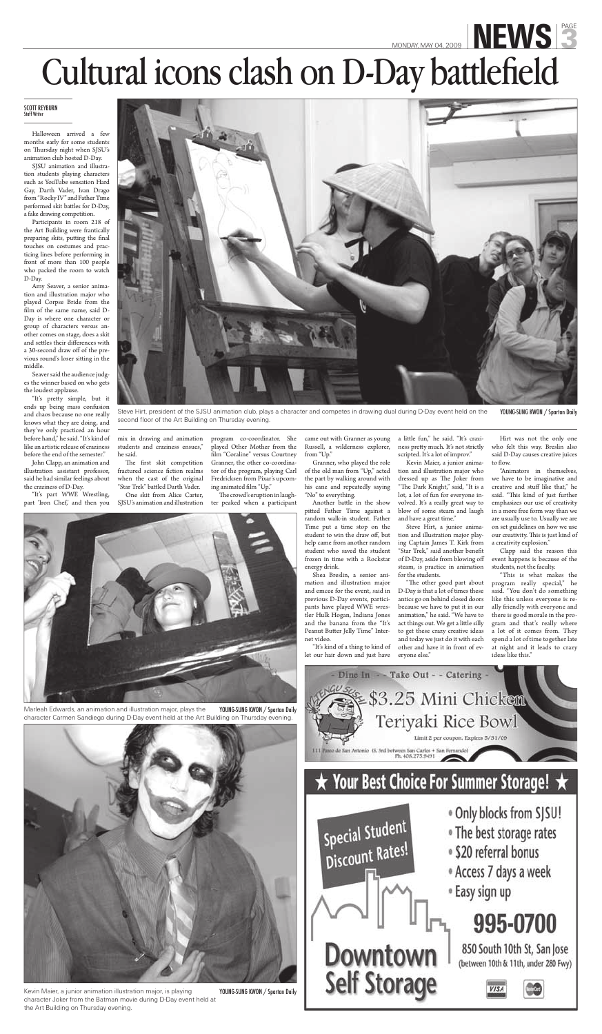## MONDAY, MAY 04, 2009 **NEWS** Cultural icons clash on D-Day battlefield

### Staff Writer

Halloween arrived a few months early for some students on Thursday night when SJSU's animation club hosted D-Day.

SJSU animation and illustration students playing characters such as YouTube sensation Hard Gay, Darth Vader, Ivan Drago from "Rocky IV" and Father Time performed skit battles for D-Day, a fake drawing competition.

Participants in room 218 of the Art Building were frantically preparing skits, putting the final touches on costumes and practicing lines before performing in front of more than 100 people who packed the room to watch D-Day.

"It's pretty simple, but it ends up being mass confusion and chaos because no one really knows what they are doing, and they've only practiced an hour before hand," he said. "It's kind of like an artistic release of craziness before the end of the semester."

Amy Seaver, a senior animation and illustration major who played Corpse Bride from the film of the same name, said D-Day is where one character or group of characters versus another comes on stage, does a skit and settles their differences with a 30-second draw off of the previous round's loser sitting in the middle.

> program co-coordinator. She played Other Mother from the film "Coraline" versus Courtney Granner, the other co-coordinator of the program, playing Carl Fredricksen from Pixar's upcoming animated film "Up."

The crowd's eruption in laughter peaked when a participant

Seaver said the audience judges the winner based on who gets the loudest applause.

> Another battle in the show pitted Father Time against a random walk-in student. Father Time put a time stop on the student to win the draw off, but help came from another random student who saved the student frozen in time with a Rockstar energy drink.

John Clapp, an animation and illustration assistant professor, said he had similar feelings about the craziness of D-Day.

a little fun," he said. "It's craziness pretty much. It's not strictly scripted. It's a lot of improv."

"It's part WWE Wrestling, part 'Iron Chef,' and then you mix in drawing and animation students and craziness ensues," he said.

The first skit competition fractured science fiction realms when the cast of the original "Star Trek" battled Darth Vader.

One skit from Alice Carter, SJSU's animation and illustration

Hirt was not the only one who felt this way. Breslin also said D-Day causes creative juices to flow.

came out with Granner as young Russell, a wilderness explorer, from "Up."

Granner, who played the role of the old man from "Up," acted the part by walking around with his cane and repeatedly saying "No" to everything.

> "The other good part about program really special," he "This is what makes the ally friendly with everyone and there is good morale in the program and that's really where a lot of it comes from. They spend a lot of time together late at night and it leads to crazy ideas like this."



Marleah Edwards, an animation and illustration major, plays the character Carmen Sandiego during D-Day event held at the Art Building on Thursday evening.





Steve Hirt, president of the SJSU animation club, plays a character and competes in drawing dual during D-Day event held on the second floor of the Art Building on Thursday evening. YOUNG-SUNG KWON / Spartan Daily

Shea Breslin, a senior animation and illustration major pants have played WWE wrestler Hulk Hogan, Indiana Jones and the banana from the "It's Peanut Butter Jelly Time" Internet video. "It's kind of a thing to kind of let our hair down and just have

Kevin Maier, a junior animation and illustration major who dressed up as The Joker from "The Dark Knight," said, "It is a lot, a lot of fun for everyone involved. It's a really great way to blow of some steam and laugh and have a great time."

and emcee for the event, said in D-Day is that a lot of times these said. "You don't do something previous D-Day events, partici-antics go on behind closed doors like this unless everyone is rebecause we have to put it in our animation," he said. "We have to act things out. We get a little silly to get these crazy creative ideas and today we just do it with each other and have it in front of everyone else."

Steve Hirt, a junior animation and illustration major playing Captain James T. Kirk from "Star Trek," said another benefit of D-Day, aside from blowing off steam, is practice in animation for the students.

"Animators in themselves, we have to be imaginative and creative and stuff like that," he said. "This kind of just further emphasizes our use of creativity in a more free form way than we are usually use to. Usually we are on set guidelines on how we use our creativity. This is just kind of a creativity explosion."

Clapp said the reason this event happens is because of the students, not the faculty.

Kevin Maier, a junior animation illustration major, is playing character Joker from the Batman movie during D-Day event held at the Art Building on Thursday evening.

YOUNG-SUNG KWON / Spartan Daily



### $\star$  Your Best Choice For Summer Storage!  $\star$



- . Only blocks from SJSU!
- The best storage rates
- · \$20 referral bonus
- Access 7 days a week

<sup>®</sup> Easy sign up

### 995-0700

850 South 10th St, San Jose (between 10th & 11th, under 280 Fwy)

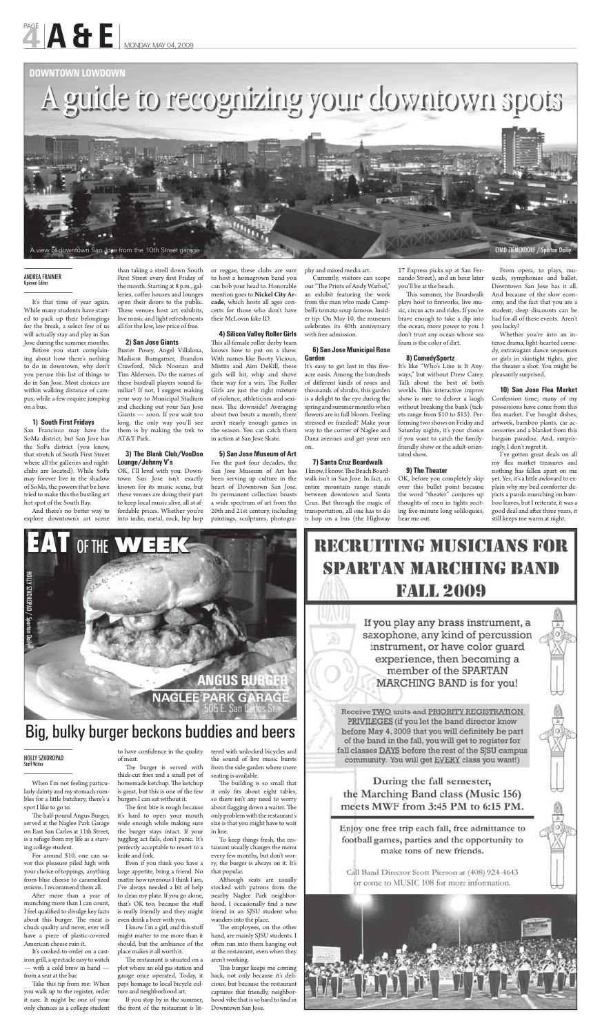When I'm not feeling particularly dainty and my stomach rumbles for a little butchery, there's a spot I like to go to.

The half-pound Angus Burger, served at the Naglee Park Garage on East San Carlos at 11th Street, is a refuge from my life as a starving college student.

After more than a year of munching more than I can count, I feel qualified to divulge key facts about this burger. The meat is chuck quality and never, ever will have a piece of plastic-covered American cheese ruin it.

For around \$10, one can savor this pleasure piled high with your choice of toppings, anything from blue cheese to caramelized onions. I recommend them all.

The first bite is rough because it's hard to open your mouth wide enough while making sure the burger stays intact. If your juggling act fails, don't panic. It's perfectly acceptable to resort to a knife and fork.

It's cooked-to-order on a castiron grill, a spectacle easy to watch — with a cold brew in hand from a seat at the bar.

Take this tip from me: When you walk up to the register, order it rare. It might be one of your only chances as a college student

to have confidence in the quality of meat. The burger is served with

The restaurant is situated on a plot where an old gas station and garage once operated. Today, it pays homage to local bicycle culture and neighborhood art.

tered with unlocked bicycles and the sound of live music bursts from the side garden where more seating is available. The building is so small that

thick-cut fries and a small pot of homemade ketchup. The ketchup is great, but this is one of the few burgers I can eat without it.

it only fits about eight tables, so there isn't any need to worry about flagging down a waiter. The only problem with the restaurant's size is that you might have to wait in line.

The employees, on the other hand, are mainly SJSU students. I often run into them hanging out at the restaurant, even when they aren't working.

This burger keeps me coming back, not only because it's delicious, but because the restaurant captures that friendly, neighborhood vibe that is so hard to find in Downtown San Jose.

If you play any brass instrument, a saxophone, any kind of percussion instrument, or have color quard experience, then becoming a member of the SPARTAN MARCHING BAND is for you!

Receive TWO units and PRIORITY REGISTRATION PRIVILEGES (if you let the band director know before May 4, 2009 that you will definitely be part of the band in the fall, you will get to register for fall classes DAYS before the rest of the SJSU campus community. You will get EVERY class you want!)

During the fall semester, the Marching Band class (Music 156) meets MWF from 3:45 PM to 6:15 PM.

Enjoy one free trip each fall, free admittance to football games, parties and the opportunity to make tons of new friends.

Call Band Director Scott Pierson at (408) 924-4643 or come to MUSIC 108 for more information.



Even if you think you have a large appetite, bring a friend. No matter how ravenous I think I am, I've always needed a bit of help to clean my plate. If you go alone, that's OK too, because the staff is really friendly and they might even drink a beer with you.

I know I'm a girl, and this stuff might matter to me more than it should, but the ambiance of the place makes it all worth it.

If you stop by in the summer, the front of the restaurant is lit-

And there's no better way to explore downtown's art scene

> To keep things fresh, the restaurant usually changes the menu every few months, but don't worry, the burger is always on it. It's that popular.

Although seats are usually stocked with patrons from the nearby Naglee Park neighborhood, I occasionally find a new friend in an SJSU student who wanders into the place.

This all-female roller derby team knows how to put on a show. With names like Booty Vicious, Mistits and Aim DeKill, these girls will hit, whip and shove their way for a win. The Roller Girls are just the right mixture of violence, athleticism and sexiness. The downside? Averaging about two bouts a month, there aren't nearly enough games in the season. You can catch them in action at San Jose Skate.

### Big, bulky burger beckons buddies and beers

### **HOLLY SZKOROPAD**<br>Staff Writer

### **NAGLEE PARK GARAGE** 505 E. San Carlos St. **ANGUS BURGER**



### **RECRUITING MUSICIANS FOR SPARTAN MARCHING BAND FALL 2009**

DILY SZKO

It's easy to get lost in this fiveacre oasis. Among the hundreds of different kinds of roses and thousands of shrubs, this garden is a delight to the eye during the spring and summer months when flowers are in full bloom. Feeling stressed or frazzled? Make your way to the corner of Naglee and Dana avenues and get your zen on.

It's that time of year again. While many students have started to pack up their belongings for the break, a select few of us will actually stay and play in San Jose during the summer months.

> I know, I know. The Beach Boardwalk isn't in San Jose. In fact, an entire mountain range stands between downtown and Santa Cruz. But through the magic of transportation, all one has to do is hop on a bus (the Highway

Before you start complaining about how there's nothing to do in downtown, why don't you peruse this list of things to do in San Jose. Most choices are within walking distance of campus, while a few require jumping on a bus.

This summer, the Boardwalk plays host to fireworks, live music, circus acts and rides. If you're brave enough to take a dip into the ocean, more power to you. I don't trust any ocean whose sea foam is the color of dirt.

### **1) South First Fridays**

San Francisco may have the SoMa district, but San Jose has the SoFa district (you know, that stretch of South First Street where all the galleries and nightclubs are located). While SoFa may forever live in the shadow of SoMa, the powers that be have tried to make this the bustling art hot spot of the South Bay.

than taking a stroll down South First Street every first Friday of the month. Starting at 8 p.m., galleries, coffee houses and lounges open their doors to the public. These venues host art exhibits, live music and light refreshments all for the low, low price of free.

> I've gotten great deals on all my flea market treasures and nothing has fallen apart on me yet. Yes, it's a little awkward to explain why my bed comforter depicts a panda munching on bamboo leaves, but I reiterate, it was a good deal and after three years, it still keeps me warm at night.

### **2) San Jose Giants**

### **ANDREA FRAINIER**<br>Opinion Editor Opinion Editor

Buster Posey, Angel Villalona, Madison Bumgarner, Brandon Crawford, Nick Noonan and Tim Alderson. Do the names of these baseball players sound familiar? If not, I suggest making your way to Municipal Stadium and checking out your San Jose Giants — soon. If you wait too long, the only way you'll see them is by making the trek to AT&T Park.

### **3) The Blank Club/VooDoo Lounge/Johnny V's**

OK, I'll level with you. Downtown San Jose isn't exactly known for its music scene, but these venues are doing their part to keep local music alive, all at affordable prices. Whether you're into indie, metal, rock, hip hop

or reggae, these clubs are sure to host a homegrown band you can bob your head to. Honorable mention goes to **Nickel City Arcade**, which hosts all ages concerts for those who don't have their McLovin fake ID.

### **4) Silicon Valley Roller Girls**

### **5) San Jose Museum of Art**

For the past four decades, the San Jose Museum of Art has been serving up culture in the heart of Downtown San Jose. Its permanent collection boasts a wide spectrum of art from the 20th and 21st century, including paintings, sculptures, photography and mixed media art.

Currently, visitors can scope out "The Prints of Andy Warhol," an exhibit featuring the work from the man who made Campbell's tomato soup famous. Insider tip: On May 10, the museum celebrates its 40th anniversary with free admission.

#### **6) San Jose Municipal Rose Garden**

### **7) Santa Cruz Boardwalk**

17 Express picks up at San Fernando Street), and an hour later you'll be at the beach.

### **8) ComedySportz**

It's like "Who's Line is It Anyways," but without Drew Carey. Talk about the best of both worlds. This interactive improv show is sure to deliver a laugh without breaking the bank (tickets range from \$10 to \$15). Performing two shows on Friday and Saturday nights, it's your choice if you want to catch the familyfriendly show or the adult-orientated show.

### **9) The Theater**

OK, before you completely skip over this bullet point because the word "theater" conjures up thoughts of men in tights reciting five-minute long soliloquies, hear me out.

From opera, to plays, musicals, symphonies and ballet, Downtown San Jose has it all. And because of the slow economy, and the fact that you are a student, deep discounts can be had for all of these events. Aren't you lucky?

Whether you're into an intense drama, light-hearted comedy, extravagant dance sequences or girls in skintight tights, give the theater a shot. You might be pleasantly surprised.

**10) San Jose Flea Market** 

Confession time; many of my possessions have come from this flea market. I've bought dishes, artwork, bamboo plants, car accessories and a blanket from this bargain paradise. And, surprisingly, I don't regret it.



## PAGE **A & E** MONDAY, MAY 04, 2009

### **DOWNTOWN LOWDOWN**

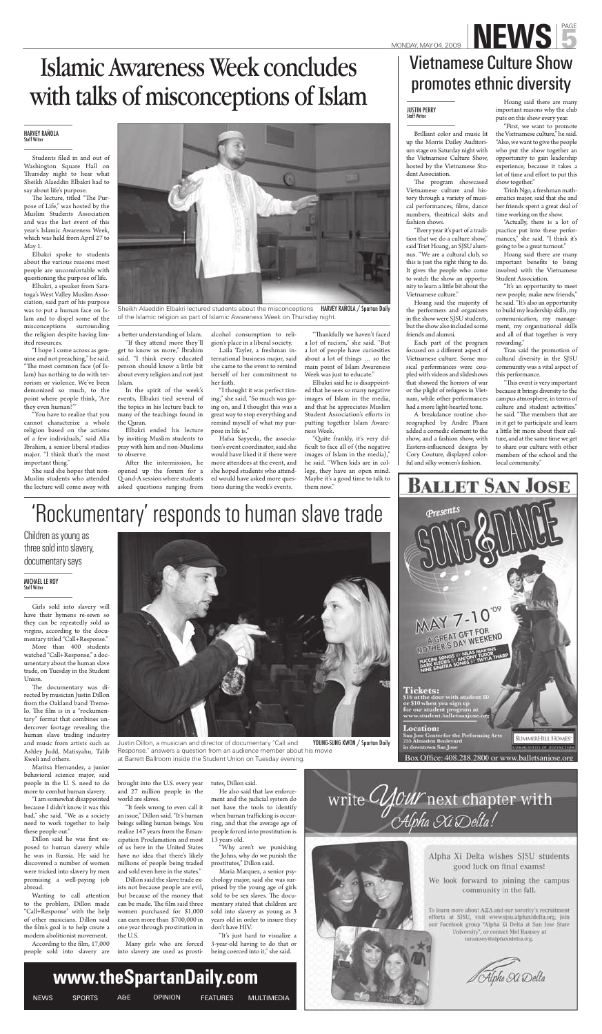### **HARVEY RAÑOLA**



Sheikh Alaeddin Elbakri lectured students about the misconceptions of the Islamic religion as part of Islamic Awareness Week on Thursday night.

a better understanding of Islam.

Students filed in and out of Washington Square Hall on Thursday night to hear what Sheikh Alaeddin Elbakri had to say about life's purpose.

The lecture, titled "The Purpose of Life," was hosted by the Muslim Students Association and was the last event of this year's Islamic Awareness Week, which was held from April 27 to May 1.

Elbakri spoke to students about the various reasons most people are uncomfortable with questioning the purpose of life.

Elbakri, a speaker from Saratoga's West Valley Muslim Association, said part of his purpose was to put a human face on Islam and to dispel some of the misconceptions surrounding the religion despite having limited resources.

"If they attend more they'll get to know us more," Ibrahim said. "I think every educated person should know a little bit about every religion and not just Islam.

After the intermission, he opened up the forum for a Q-and-A session where students asked questions ranging from

"I hope I come across as genuine and not preaching," he said. "The most common face (of Islam) has nothing to do with terrorism or violence. We've been demonized so much, to the point where people think, 'Are they even human?'"

"You have to realize that you cannot characterize a whole religion based on the actions of a few individuals," said Alia Ibrahim, a senior liberal studies major. "I think that's the most important thing."

She said she hopes that non-Muslim students who attended the lecture will come away with

"Thankfully we haven't faced a lot of racism," she said. "But a lot of people have curiosities about a lot of things … so the main point of Islam Awareness Week was just to educate."

In the spirit of the week's events, Elbakri tied several of the topics in his lecture back to many of the teachings found in the Quran.

The program showcased Vietnamese culture and history through a variety of musical performances, films, dance numbers, theatrical skits and fashion shows.

Elbakri ended his lecture by inviting Muslim students to pray with him and non-Muslims to observe.

alcohol consumption to religion's place in a liberal society.

Laila Tayler, a freshman international business major, said she came to the event to remind herself of her commitment to her faith.

"I thought it was perfect timing," she said. "So much was going on, and I thought this was a great way to stop everything and remind myself of what my purpose in life is."

Hafsa Sayyeda, the association's event coordinator, said she would have liked it if there were more attendees at the event, and she hoped students who attended would have asked more questions during the week's events.

Elbakri said he is disappointed that he sees so many negative images of Islam in the media, and that he appreciates Muslim Student Association's efforts in putting together Islam Awareness Week.

"This event is very important because it brings diversity to the campus atmosphere, in terms of culture and student activities." he said. "The members that are in it get to participate and learn a little bit more about their culture, and at the same time we get to share our culture with other members of the school and the local community."



### MONDAY, MAY 04, 2009 **NEWS** Vietnamese Culture Show promotes ethnic diversity

### **JUSTIN PERRY**<br>Staff Writer

"Quite frankly, it's very difficult to face all of (the negative images of Islam in the media)," he said. "When kids are in college, they have an open mind. Maybe it's a good time to talk to them now."

Brilliant color and music lit up the Morris Dailey Auditorium stage on Saturday night with the Vietnamese Culture Show, hosted by the Vietnamese Student Association.

The documentary was directed by musician Justin Dillon from the Oakland band Tremolo. The film is in a "rockumentary" format that combines undercover footage revealing the human slave trading industry and music from artists such as Ashley Judd, Matisyahu, Talib Kweli and others.

Dillon said he was first exposed to human slavery while he was in Russia. He said he discovered a number of women were tricked into slavery by men promising a well-paying job abroad.

Wanting to call attention to the problem, Dillon made "Call+Response" with the help of other musicians. Dillon said the film's goal is to help create a modern abolitionist movement.

According to the film, 17,000 people sold into slavery are

"Every year it's part of a tradition that we do a culture show," said Triet Hoang, an SJSU alumnus. "We are a cultural club, so this is just the right thing to do. It gives the people who come to watch the show an opportunity to learn a little bit about the Vietnamese culture."

Hoang said the majority of the performers and organizers in the show were SJSU students, but the show also included some friends and alumni.

Each part of the program focused on a different aspect of Vietnamese culture. Some musical performances were coupled with videos and slideshows that showed the horrors of war or the plight of refugees in Vietnam, while other performances had a more light-hearted tone.

A breakdance routine choreographed by Andre Pham added a comedic element to the show, and a fashion show, with Eastern-influenced designs by Cory Couture, displayed colorful and silky women's fashion.

Hoang said there are many important reasons why the club puts on this show every year.

"First, we want to promote the Vietnamese culture," he said. "Also, we want to give the people who put the show together an opportunity to gain leadership experience, because it takes a lot of time and effort to put this show together."

Trinh Ngo, a freshman mathematics major, said that she and her friends spent a great deal of time working on the show.

"Actually, there is a lot of practice put into these performances," she said. "I think it's going to be a great turnout."

Hoang said there are many important benefits to being involved with the Vietnamese Student Association.

"It's an opportunity to meet new people, make new friends," he said. "It's also an opportunity to build my leadership skills, my communication, my management, my organizational skills and all of that together is very rewarding."

Tran said the promotion of cultural diversity in the SJSU community was a vital aspect of this performance.

### 'Rockumentary' responds to human slave trade

Girls sold into slavery will have their hymens re-sewn so they can be repeatedly sold as virgins, according to the documentary titled "Call+Response."

More than 400 students watched "Call+Response," a documentary about the human slave trade, on Tuesday in the Student Union.

Maritsa Hernandez, a junior behavioral science major, said people in the U. S. need to do more to combat human slavery.

"I am somewhat disappointed because I didn't know it was this bad," she said. "We as a society need to work together to help these people out."

brought into the U.S. every year and 27 million people in the world are slaves.

"It feels wrong to even call it an issue," Dillon said. "It's human beings selling human beings. You realize 147 years from the Emancipation Proclamation and most of us here in the United States have no idea that there's likely millions of people being traded and sold even here in the states."

Dillon said the slave trade exists not because people are evil, but because of the money that can be made. The film said three women purchased for \$1,000 can earn more than \$700,000 in one year through prostitution in the U.S.

Many girls who are forced into slavery are used as prosti-

tutes, Dillon said.

He also said that law enforcement and the judicial system do not have the tools to identify when human trafficking is occurring, and that the average age of people forced into prostitution is 13 years old.

"Why aren't we punishing the Johns, why do we punish the prostitutes," Dillon said.

Maria Marquez, a senior psychology major, said she was surprised by the young age of girls sold to be sex slaves. The documentary stated that children are sold into slavery as young as 3 years old in order to insure they don't have HIV.

"It's just hard to visualize a 3-year-old having to do that or being coerced into it," she said.

Children as young as three sold into slavery, documentary says

**MICHAEL LE ROY**<br>Staff Writer



Justin Dillon, a musician and director of documentary "Call and Response," answers a question from an audience member about his movie at Barrett Ballroom inside the Student Union on Tuesday evening.



Box Office: 408.288.2800 or www.balletsanjose.org



write *CHOUY* next chapter with<br>*Alpha Xi* Delta!



Alpha Xi Delta wishes SJSU students good luck on final exams!

We look forward to joining the campus community in the fall.

To learn more about AEA and our sorority's recruitment efforts at SISU, visit www.sjsu.alphaxidelta.org, join our Facebook group "Alpha Xi Delta at San Jose State University", or contact Mel Ramsey at mramsey@alphaxidelta.org.

Alpha Xi Delta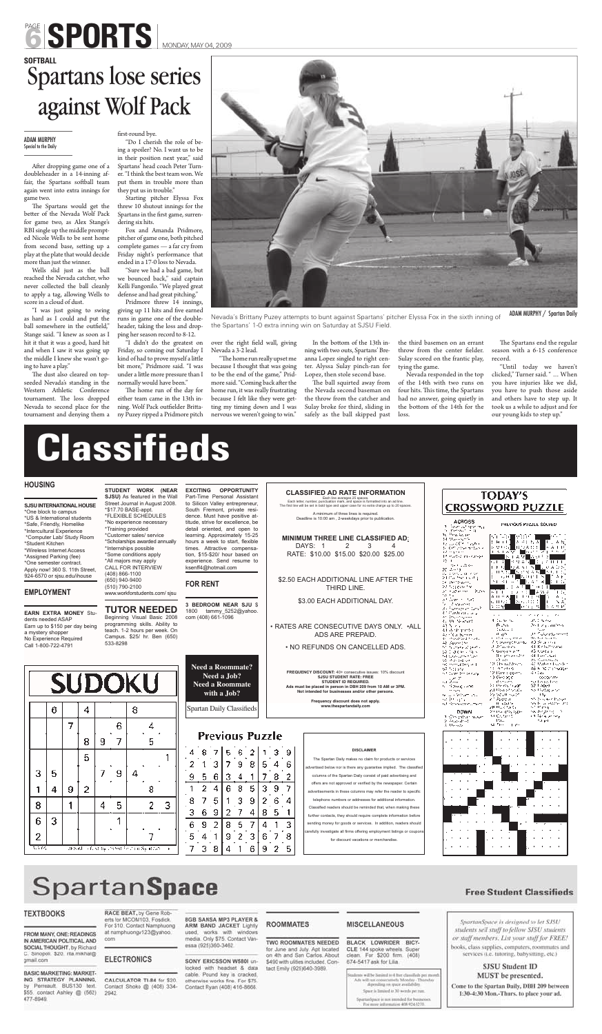After dropping game one of a doubleheader in a 14-inning affair, the Spartans softball team again went into extra innings for game two.

The Spartans would get the better of the Nevada Wolf Pack for game two, as Alex Stange's RBI single up the middle prompted Nicole Wells to be sent home from second base, setting up a play at the plate that would decide more than just the winner.

Wells slid just as the ball reached the Nevada catcher, who never collected the ball cleanly to apply a tag, allowing Wells to score in a cloud of dust.

The dust also cleared on topseeded Nevada's standing in the Western Athletic Conference tournament. The loss dropped Nevada to second place for the tournament and denying them a

### first-round bye.

"I was just going to swing as hard as I could and put the ball somewhere in the outfield," Stange said. "I knew as soon as I hit it that it was a good, hard hit and when I saw it was going up the middle I knew she wasn't going to have a play."

> The home run of the day for either team came in the 13th inning. Wolf Pack outfielder Brittany Puzey ripped a Pridmore pitch

over the right field wall, giving Nevada a 3-2 lead.

"Do I cherish the role of being a spoiler? No. I want us to be in their position next year," said Spartans' head coach Peter Turner. "I think the best team won. We put them in trouble more than they put us in trouble."

> "The home run really upset me because I thought that was going to be the end of the game," Pridmore said. "Coming back after the home run, it was really frustrating because I felt like they were getting my timing down and I was nervous we weren't going to win."

Starting pitcher Elyssa Fox threw 10 shutout innings for the Spartans in the first game, surrendering six hits.

> In the bottom of the 13th inning with two outs, Spartans' Breanna Lopez singled to right center. Alyssa Sulay pinch-ran for Lopez, then stole second base.

The ball squirted away from the Nevada second baseman on the throw from the catcher and Sulay broke for third, sliding in safely as the ball skipped past

Fox and Amanda Pridmore, pitcher of game one, both pitched complete games — a far cry from Friday night's performance that ended in a 17-0 loss to Nevada.

> The Spartans end the regular season with a 6-15 conference record.

"Sure we had a bad game, but we bounced back," said captain Kelli Fangonilo. "We played great defense and had great pitching."

## PAGE SPORTS MONDAY, MAY 04, 2009

### **SOFTBALL** against Wolf Pack EXPLANATION FIRST-TOURING COMPANY<br>First-round bye.

Pridmore threw 14 innings, giving up 11 hits and five earned runs in game one of the doubleheader, taking the loss and dropping her season record to 8-12.

### **ADAM MURPHY**<br>Special to the Daily Special to the Daily

"I didn't do the greatest on Friday, so coming out Saturday I kind of had to prove myself a little bit more," Pridmore said. "I was under a little more pressure than I normally would have been."

the third basemen on an errant throw from the center fielder. Sulay scored on the frantic play, tying the game.

Nevada responded in the top of the 14th with two runs on four hits. This time, the Spartans had no answer, going quietly in the bottom of the 14th for the loss.

"Until today we haven't clicked," Turner said. " … When you have injuries like we did, you have to push those aside and others have to step up. It took us a while to adjust and for our young kids to step up."

## **Classifieds**

### **HOUSING**

**SJSU INTERNATIONAL HOUSE**  \*One block to campus \*US & International students \*Safe, Friendly, Homelike \*Intercultural Experience \*Computer Lab/ Study Room \*Student Kitchen \*Wireless Internet Access \*Assigned Parking (fee) \*One semester contract. Apply now! 360 S. 11th Street, 924-6570 or sjsu.edu/ihouse

### **EMPLOYMENT**

**STUDENT WORK (NEAR** 

**SJSU)** As featured in the Wall Street Journal in August 2008. \*\$17.70 BASE-appt. \*FLEXIBLE SCHEDULES \*No experience necessary \*Training provided \*Customer sales/ service \*Scholarships awarded annually \*Internships possible \*Some conditions apply \*All majors may apply CALL FOR INTERVIEW (408) 866-1100 (650) 940-9400 (510) 790-2100 www.workforstudents.com/ sjsu

**EXCITING OPPORTUNITY**  Part-Time Personal Assistant to Silicon Valley entrepreneur, South Fremont, private residence. Must have positive attitude, strive for excellence, be detail oriented, and open to learning. Approximately 15-25 hours a week to start, flexible times. Attractive compensation, \$15-\$20/ hour based on experience. Send resume to ksenff4@hotmail.com

**FOR RENT**

**CLASSIFIED AD RATE INFORMATION** Each line averages 25 spaces. Each letter, number, punctuation mark, and space is formatted into an ad line. The first line will be set in bold type and upper case for no extra charge up to 20 spaces.

| <b>TUTOR NEEDED</b><br><b>EARN EXTRA MONEY Stu-</b><br>Beginning Visual Basic 2008<br>dents needed ASAP<br>programming skills. Ability to<br>Earn up to \$150 per day being<br>teach. 1-2 hours per week. On<br>a mystery shopper<br>Campus. \$25/ hr. Ben (650)<br>No Experience Required<br>533-8298<br>Call 1-800-722-4791 |                            |        |   |        | <b>3 BEDROOM NEAR SJU \$</b><br>1800<br>tammy_5252@yahoo.<br>com (408) 661-1096 |   |                    |                                         |   |                                                                                                              |   |        | \$3.00 EACH ADDITIONAL DAY.<br>• RATES ARE CONSECUTIVE DAYS ONLY. • ALL<br>ADS ARE PREPAID.<br>• NO REFUNDS ON CANCELLED ADS. | at Grecht tag<br><b>All September</b><br>da Pontan in Chili<br>an maga bahasa y<br>41. Physical press<br>t. Ur Sokset<br>43 N A L<br>de Winternetter<br>Azir î Caliberto (n.<br>6、雪花英雄是大风。<br>48. Apone the<br>Michael Andrew Wilson<br>520 (100 - 100 -<br>Standard Composition | u med 1<br>. .<br>4.06.56.56<br>Buha.<br>iauan r<br>at a Ac<br>Collaboration and<br>A Stevenstrumbul<br>计实际设计<br>fi Gegaa wa<br>die januaries | 计定式放电<br>As the proportion<br>٠<br>والمستحدة المركزة المرتكب <sup>من</sup> المقا<br>Declare Search<br>140 Supervis<br>41 Keskuttouren<br>43 toxCals.<br><b>ART Limits</b> Card |                                                                                                                                                                                                                                                                                                                                                            |                                                                                                                                                                                                                             |                                                                                                                                                                                                                           |                                                                                                                                                                                                                               |
|-------------------------------------------------------------------------------------------------------------------------------------------------------------------------------------------------------------------------------------------------------------------------------------------------------------------------------|----------------------------|--------|---|--------|---------------------------------------------------------------------------------|---|--------------------|-----------------------------------------|---|--------------------------------------------------------------------------------------------------------------|---|--------|-------------------------------------------------------------------------------------------------------------------------------|----------------------------------------------------------------------------------------------------------------------------------------------------------------------------------------------------------------------------------------------------------------------------------|-----------------------------------------------------------------------------------------------------------------------------------------------|--------------------------------------------------------------------------------------------------------------------------------------------------------------------------------|------------------------------------------------------------------------------------------------------------------------------------------------------------------------------------------------------------------------------------------------------------------------------------------------------------------------------------------------------------|-----------------------------------------------------------------------------------------------------------------------------------------------------------------------------------------------------------------------------|---------------------------------------------------------------------------------------------------------------------------------------------------------------------------------------------------------------------------|-------------------------------------------------------------------------------------------------------------------------------------------------------------------------------------------------------------------------------|
|                                                                                                                                                                                                                                                                                                                               |                            | 6      |   | 4      |                                                                                 |   | <b>SUDOKU</b><br>8 |                                         |   | <b>Need a Roommate?</b><br>Need a Job?<br><b>Need a Roommate</b><br>with a Job?<br>Spartan Daily Classifieds |   |        |                                                                                                                               |                                                                                                                                                                                                                                                                                  |                                                                                                                                               |                                                                                                                                                                                | FREQUENCY DISCOUNT: 40+ consecutive issues: 10% discount<br><b>SJSU STUDENT RATE: FREE</b><br><b>STUDENT ID REQUIRED.</b><br>Ads must be placed in person in DBH 209 from 10 AM or 3PM.<br>Not intended for businesses and/or other persons.<br>Frequency discount does not apply.<br>www.thespartandaily.com                                              | ジーム とうせいし<br>90 minuttery out<br>97 NG 542<br>rat Guner Strogs surg.<br>۷ - م<br>sa Ang<br>s informação em<br>$\cdots$<br>te su site based and<br>sa Brigani<br>ral de versiones consta<br><b>DOWN</b><br>2. Computar mason | 12.ACT<br>10.000 tallibum.<br>ta mendeba<br>12 Bandagen,<br>10.099.000<br>at the con-<br>20 Meets to 200<br>zal Powertowan<br>わぶせんと<br>4 1 22 0 7 4<br><b>ILL ASSAUTE</b><br>2世紀以前 50分<br>2005 (Partidos)<br>ALC: General | エンジントリッション<br>AC Make Chanks<br>AS IN NEW CONSTRUCTION<br>si Consul<br>socoetate<br>to Loggi Loc<br>521.8069<br>na Padagona<br>υъ.<br>Made Care Purse<br>nech a espre an<br>st Prsie<br>bookstating the<br>الوصاحب وأجؤل فالد |
|                                                                                                                                                                                                                                                                                                                               | 7<br>6<br>4<br>5<br>8<br>9 |        |   |        |                                                                                 |   |                    | <b>Previous Puzzle</b>                  |   |                                                                                                              |   |        |                                                                                                                               |                                                                                                                                                                                                                                                                                  |                                                                                                                                               |                                                                                                                                                                                | 2. August 1991<br>3. Melson                                                                                                                                                                                                                                                                                                                                | 11<br>se frei in pre-                                                                                                                                                                                                       | Tall and                                                                                                                                                                                                                  |                                                                                                                                                                                                                               |
|                                                                                                                                                                                                                                                                                                                               | 3                          | 5<br>4 | 9 | 5<br>2 |                                                                                 | 9 |                    | 8                                       | 9 | 5.<br>6                                                                                                      |   | 9<br>8 | 5                                                                                                                             | 3                                                                                                                                                                                                                                                                                | 8<br>9                                                                                                                                        | 6                                                                                                                                                                              | <b>DISCLAIMER</b><br>The Spartan Daily makes no claim for products or services<br>advertised below nor is there any guarantee implied. The classified<br>columns of the Spartan Daily consist of paid advertising and<br>offers are not approved or verified by the newspaper. Certain<br>advertisements in these columns may refer the reader to specific |                                                                                                                                                                                                                             |                                                                                                                                                                                                                           |                                                                                                                                                                                                                               |
|                                                                                                                                                                                                                                                                                                                               | 8.                         |        |   |        | 4                                                                               | 5 |                    | 2<br>3                                  |   | 9<br>6                                                                                                       |   |        |                                                                                                                               | 8                                                                                                                                                                                                                                                                                | 6<br>5                                                                                                                                        |                                                                                                                                                                                | telephone numbers or addresses for additional information.<br>Classified readers should be reminded that, when making these<br>further contacts, they should require complete information before                                                                                                                                                           |                                                                                                                                                                                                                             |                                                                                                                                                                                                                           |                                                                                                                                                                                                                               |
|                                                                                                                                                                                                                                                                                                                               | 6<br>2<br>5574             | 3      |   |        |                                                                                 |   |                    | this who feed to chood be considered as |   | 8                                                                                                            | ç |        |                                                                                                                               | 9                                                                                                                                                                                                                                                                                |                                                                                                                                               | 8<br>5                                                                                                                                                                         | sending money for goods or services. In addition, readers should<br>carefully investigate all firms offering employment listings or coupons<br>for discount vacations or merchandise.                                                                                                                                                                      |                                                                                                                                                                                                                             |                                                                                                                                                                                                                           |                                                                                                                                                                                                                               |

### **SpartanSpace**

#### **TEXTBOOKS**

FROM MANY, ONE: READINGS IN AMERICAN POLITICAL AND SOCIAL THOUGHT, by Richard C. Sinopoli. \$20. rita.mikhal@ gmail.com

**BASIC MARKETING: MARKET-**ING STRATEGY PLANNING, by Perreault. BUS130 text. \$55. contact Ashley @ (562) 477-8949.

RACE BEAT, by Gene Rob erts for MCOM103, Fosdick For \$10. Contact Namphuong at namphuongv123@yahoo.

### **ELECTRONICS**

com

CALCULATOR TI-84 for \$20. Contact Shoko @ (408) 334-2942

**8GB SANSA MP3 PLAYER &** ARM BAND JACKET Lightly used, works with windows media. Only \$75. Contact Vanessa (925)360-3462.

SONY ERICSSON W5801 unlocked with headset & data cable. Pound key is cracked, otherwise works fine. For \$75 Contact Ryan (408) 416-8666.

#### **ROOMMATES**

TWO ROOMMATES NEEDED for June and July. Apt located on 4th and San Carlos. About \$490 with ulities included. Contact Emily (925)640-3989.

### **MISCELLANEOUS**

BLACK LOWRIDER BICY-CLE 144 spoke wheels. Super clean. For \$200 firm. (408) 674-5417 ask for Lilia.

lents will be limited to 4 for: classifieds per morel Ads will run consuminely Monday - Thursday depending on space availability. Space is limited to 30 words per run.

SpartanSpace is not intended for but For inner information 408-924-3270.

### **Free Student Classifieds**

SpartanSpace is designed to let SJSU students sell stuff to fellow SJSU students or staff members. List your stuff for FREE! books, class supplies, computers, roommates and services (i.e. tutoring, babysitting, etc.)

### **SJSU Student ID** MUST be presented.

Come to the Spartan Daily, DBH 209 between 1:30-4:30 Mon.-Thurs. to place your ad.

A minimum of three lines is required. Deadline is 10:00 am , 2-weekdays prior to publication.

**MINIMUM THREE LINE CLASSIFIED AD**: DAYS: 1 2 3 4 RATE: \$10.00 \$15.00 \$20.00 \$25.00

\$2.50 EACH ADDITIONAL LINE AFTER THE THIRD LINE.

| <b>TODAY'S</b><br>CROSSWORD PUZZLE                                                                                                 |                       |  |  |  |  |  |  |
|------------------------------------------------------------------------------------------------------------------------------------|-----------------------|--|--|--|--|--|--|
| <b>ACROSS</b><br>ビュー・ス<br>- 31<br>٦ı.<br>ы<br>.<br>ه وحرب<br>nta she<br>н.<br><br>mantikati indonezine se<br>19.<br>ne madres<br>× | PHEVOUS PUZZLE SOUVED |  |  |  |  |  |  |
| e ges<br>$\sim$ 1<br>$\overline{\phantom{a}}$                                                                                      |                       |  |  |  |  |  |  |



Nevada's Brittany Puzey attempts to bunt against Spartans' pitcher Elyssa Fox in the sixth inning of the Spartans' 1-0 extra inning win on Saturday at SJSU Field. ADAM MURPHY / Spartan Daily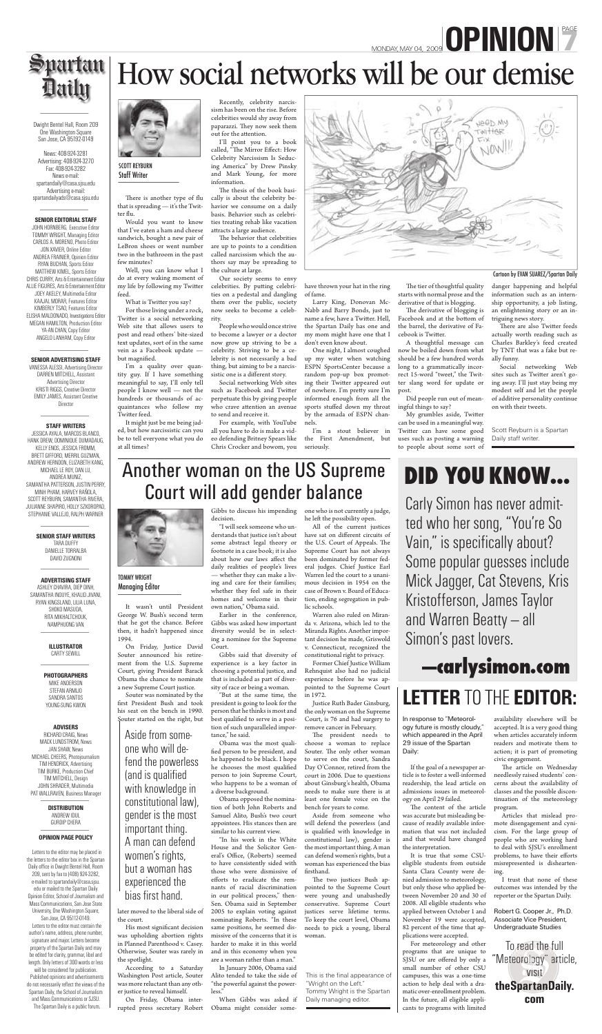Dwight Bentel Hall, Room 209 One Washington Square San Jose, CA 95192-0149

News: 408-924-3281 Advertising: 408-924-3270 Fax: 408-924-3282 News e-mail: spartandaily@casa.sjsu.edu Advertising e-mail: spartandailyads@casa.sjsu.edu

#### **SENIOR EDITORIAL STAFF**

VANESSA ALESSI, Advertising Director DARREN MITCHELL, Assistant Advertising Director KRISTI RIGGS, Creative Director EMILY JAMES, Assistant Creative **Director** 

JOHN HORNBERG, Executive Editor TOMMY WRIGHT, Managing Editor CARLOS A. MORENO, Photo Editor JON XAVIER, Online Editor ANDREA FRAINIER, Opinion Editor RYAN BUCHAN, Sports Editor MATTHEW KIMEL, Sports Editor CHRIS CURRY, Arts & Entertainment Editor ALLIE FIGURES, Arts & Entertainment Editor JOEY AKELEY, Multimedia Editor KAAJAL MORAR, Features Editor KIMBERLY TSAO, Features Editor ELISHA MALDONADO, Investigations Editor MEGAN HAMILTON, Production Editor YA-AN CHAN, Copy Editor ANGELO LANHAM, Copy Editor

#### **SENIOR ADVERTISING STAFF**

#### **STAFF WRITERS**

JESSICA AYALA, MARCOS BLANCO, HANK DREW, DOMINIQUE DUMADAUG, KELLY ENOS, JESSICA FROMM, BRETT GIFFORD, MERRIL GUZMAN, ANDREW HERNDON, ELIZABETH KANG, MICHAEL LE ROY, DAN LU, ANDREA MUNIZ, SAMANTHA PATTERSON, JUSTIN PERRY, MINH PHAM, HARVEY RAÑOLA, SCOTT REYBURN, SAMANTHA RIVERA, JULIANNE SHAPIRO, HOLLY SZKOROPAD, STEPHANIE VALLEJO, RALPH WARNER

> **SENIOR STAFF WRITERS** TARA DUFFY DANIELLE TORRALBA DAVID ZUGNONI

**ADVERTISING STAFF** ASHLEY CHAVIRA, DIEP DINH, SAMANTHA INOUYE, KHALID JIVANI, RYAN KINGSLAND, LILIA LUNA, SHOKO MASUDA, RITA MIKHALTCHOUK, NAMPHUONG VAN



SCOTT REYBURN<br>Staff Writer  $\frac{1}{\sqrt{2}}$ 

There is another type of flu that is spreading — it's the Twitter flu.

#### **ILLUSTRATOR** CARTY SEWILL

#### **PHOTOGRAPHERS**

MIKE ANDERSON STEFAN ARMIJO SANDRA SANTOS YOUNG-SUNG KWON

#### **ADVISERS**

His most significant decision was upholding abortion rights in Planned Parenthood v. Casey. Otherwise, Souter was rarely in the spotlight.

RICHARD CRAIG, News MACK LUNDSTROM, News JAN SHAW, News MICHAEL CHEERS, Photojournalism TIM HENDRICK, Advertising TIM BURKE, Production Chief TIM MITCHELL, Design JOHN SHRADER, Multimedia PAT WALLRAVEN, Business Manager

> **DISTRIBUTION** ANDREW IDUL GURDIP CHERA

#### **OPINION PAGE POLICY**

 Letters to the editor may be placed in the letters to the editor box in the Spartan Daily office in Dwight Bentel Hall, Room 209, sent by fax to (408) 924-3282, e-mailed to spartandaily@casa.sjsu. edu or mailed to the Spartan Daily Opinion Editor, School of Journalism and Mass Communications, San Jose State University, One Washington Square,

San Jose, CA 95112-0149. Letters to the editor must contain the author's name, address, phone number, signature and major. Letters become property of the Spartan Daily and may be edited for clarity, grammar, libel and length. Only letters of 300 words or less will be considered for publication.

 Published opinions and advertisements do not necessarily reflect the views of the Spartan Daily, the School of Journalism and Mass Communications or SJSU. The Spartan Daily is a public forum.

## MONDAY, MAY 04, 2009 **OPINION** Recently, celebrity narcis-<br>sism has been on the rise. Before<br>celebrities would shy away from



### Another woman on the US Supreme Court will add gender balance

It wasn't until President George W. Bush's second term that he got the chance. Before then, it hadn't happened since 1994.

On Friday, Justice David Souter announced his retirement from the U.S. Supreme Court, giving President Barack Obama the chance to nominate a new Supreme Court justice.

Souter was nominated by the first President Bush and took his seat on the bench in 1990. Souter started on the right, but

> The president needs to choose a woman to replace Souter. The only other woman to serve on the court, Sandra Day O'Connor, retired from the court in 2006. Due to questions about Ginsburg's health, Obama needs to make sure there is at least one female voice on the bench for years to come.

Aside from someone who will defend the powerless (and is qualified with knowledge in constitutional law), gender is the most important thing. A man can defend women's rights, but a woman has experienced the bias firsthand.

later moved to the liberal side of the court.

The two justices Bush appointed to the Supreme Court were young and unabashedly conservative. Supreme Court justices serve lifetime terms. To keep the court level, Obama needs to pick a young, liberal woman.

TOMMY WRIGHT<br>Managing Editor Managing Editor

According to a Saturday Washington Post article, Souter was more reluctant than any other justice to reveal himself.

This is the final appearance of "Wright on the Left." Tommy Wright is the Spartan Daily managing editor.

On Friday, Obama interrupted press secretary Robert Gibbs to discuss his impending

decision.

For those living under a rock, Twitter is a social networking Web site that allows users to post and read others' bite-sized text updates, sort of in the same vein as a Facebook update but magnified.

I'm a quality over quantity guy. If I have something meaningful to say, I'll only tell people I know well — not the hundreds or thousands of acquaintances who follow my Twitter feed.

> "I will seek someone who understands that justice isn't about some abstract legal theory or footnote in a case book; it is also about how our laws affect the daily realities of people's lives — whether they can make a living and care for their families; whether they feel safe in their homes and welcome in their

Recently, celebrity narcissism has been on the rise. Before celebrities would shy away from paparazzi. They now seek them out for the attention.

own nation," Obama said.

Earlier in the conference, Gibbs was asked how important diversity would be in selecting a nominee for the Supreme Court.

Gibbs said that diversity of experience is a key factor in choosing a potential justice, and that is included as part of diversity of race or being a woman.

The behavior that celebrities are up to points to a condition called narcissism which the authors say may be spreading to the culture at large.

People who would once strive to become a lawyer or a doctor now grow up striving to be a celebrity. Striving to be a celebrity is not necessarily a bad thing, but aiming to be a narcissistic one is a different story.

"But at the same time, the president is going to look for the person that he thinks is most and best qualified to serve in a position of such unparalleled importance," he said.

Obama was the most qualified person to be president, and he happened to be black. I hope he chooses the most qualified person to join Supreme Court, who happens to be a woman of a diverse background.

Obama opposed the nomination of both John Roberts and Samuel Alito, Bush's two court appointees. His stances then are similar to his current view.

The tier of thoughtful quality starts with normal prose and the derivative of that is blogging.

The derivative of blogging is Facebook and at the bottom of the barrel, the derivative of Facebook is Twitter.

"In his work in the White House and the Solicitor General's Office, (Roberts) seemed to have consistently sided with those who were dismissive of efforts to eradicate the remnants of racial discrimination in our political process," then-Sen. Obama said in September 2005 to explain voting against nominating Roberts. "In these same positions, he seemed dismissive of the concerns that it is harder to make it in this world and in this economy when you are a woman rather than a man."

My grumbles aside, Twitter can be used in a meaningful way. Twitter can have some good uses such as posting a warning to people about some sort of

danger happening and helpful information such as an internship opportunity, a job listing, an enlightening story or an intriguing news story.  $C^{\text{max}}$  and  $C^{\text{max}}$  space  $C^{\text{max}}$ 

Jeep My rwitter

NOW

There are also Twitter feeds actually worth reading such as Charles Barkley's feed created by TNT that was a fake but really funny.

In January 2006, Obama said Alito tended to take the side of "the powerful against the powerless."

### Aside from someone who will defend the powerless (and is qualified with knowledge in constitutional law), gender is the most important thing. A man can defend women's rights, but a woman has experienced the bias first hand.

When Gibbs was asked if Obama might consider someone who is not currently a judge, he left the possibility open.

All of the current justices have sat on different circuits of the U.S. Court of Appeals. The Supreme Court has not always been dominated by former federal judges. Chief Justice Earl Warren led the court to a unanimous decision in 1954 on the case of Brown v. Board of Education, ending segregation in pub-

lic schools.

Warren also ruled on Miranda v. Arizona, which led to the Miranda Rights. Another important decision he made, Griswold v. Connecticut, recognized the constitutional right to privacy.

> The content of the article was accurate but misleading because of readily available information that was not included and that would have changed the interpretation.

Former Chief Justice William Rehnquist also had no judicial experience before he was appointed to the Supreme Court in 1972.

Justice Ruth Bader Ginsburg, the only woman on the Supreme Court, is 76 and had surgery to remove cancer in February.

> The article on Wednesday needlessly raised students' concerns about the availability of classes and the possible discontinuation of the meteorology program.

Would you want to know that I've eaten a ham and cheese sandwich, bought a new pair of LeBron shoes or went number two in the bathroom in the past few minutes?

Well, you can know what I do at every waking moment of my life by following my Twitter feed.

What is Twitter you say?

It might just be me being jaded, but how narcissistic can you be to tell everyone what you do at all times?

I'll point you to a book called, "The Mirror Effect: How Celebrity Narcissism Is Seducing America" by Drew Pinsky and Mark Young, for more information.

The thesis of the book basically is about the celebrity behavior we consume on a daily basis. Behavior such as celebrities treating rehab like vacation attracts a large audience.

Our society seems to envy celebrities. By putting celebrities on a pedestal and dangling them over the public, society now seeks to become a celebrity.

Social networking Web sites such as Facebook and Twitter perpetuate this by giving people who crave attention an avenue to send and receive it.

For example, with YouTube all you have to do is make a video defending Britney Spears like Chris Crocker and bowom, you

have thrown your hat in the ring of fame.

Larry King, Donovan Mc-Nabb and Barry Bonds, just to name a few, have a Twitter. Hell, the Spartan Daily has one and my mom might have one that I don't even know about.

One night, I almost coughed up my water when watching ESPN SportsCenter because a random pop-up box promoting their Twitter appeared out of nowhere. I'm pretty sure I'm informed enough from all the sports stuffed down my throat by the armada of ESPN channels.

I'm a stout believer in the First Amendment, but seriously.

A thoughtful message can now be boiled down from what should be a few hundred words long to a grammatically incorrect 15-word "tweet," the Twitter slang word for update or post.

Did people run out of meaningful things to say?

Social networking Web sites such as Twitter aren't going away. I'll just stay being my modest self and let the people of additive personality continue on with their tweets.

Scott Reyburn is a Spartan Daily staff writer.

Carly Simon has never admitted who her song, "You're So Vain," is specifically about? Some popular guesses include Mick Jagger, Cat Stevens, Kris Kristofferson, James Taylor and Warren Beatty — all Simon's past lovers.

### **—carlysimon.com**

### **DID YOU KNOW...**

### **LETTER** TO THE **EDITOR:**

In response to "Meteorology future is mostly cloudy," which appeared in the April 29 issue of the Spartan Daily:

If the goal of a newspaper article is to foster a well-informed readership, the lead article on admissions issues in meteorology on April 29 failed.

It is true that some CSUeligible students from outside Santa Clara County were denied admission to meteorology, but only those who applied between November 20 and 30 of 2008. All eligible students who applied between October 1 and November 19 were accepted, 82 percent of the time that applications were accepted.

For meteorology and other programs that are unique to SJSU or are offered by only a small number of other CSU campuses, this was a one-time action to help deal with a dramatic over-enrollment problem. In the future, all eligible applicants to programs with limited availability elsewhere will be accepted. It is a very good thing when articles accurately inform readers and motivate them to action; it is part of promoting civic engagement.

Articles that mislead promote disengagement and cynicism. For the large group of people who are working hard to deal with SJSU's enrollment problems, to have their efforts misrepresented is disheartening.

I trust that none of these outcomes was intended by the reporter or the Spartan Daily.

Robert G. Cooper Jr., Ph.D. Associate Vice President, Undergraduate Studies

To read the full To read the full<br>"Meteorology" article, visit visit **theSpartanDaily. heSpartanDailcom**